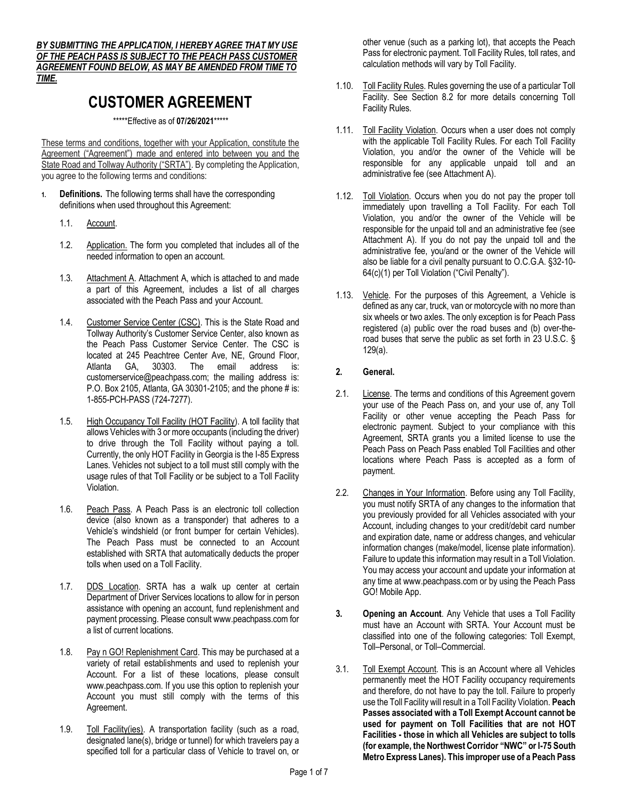*BY SUBMITTING THE APPLICATION, I HEREBY AGREE THAT MY USE OF THE PEACH PASS IS SUBJECT TO THE PEACH PASS CUSTOMER AGREEMENT FOUND BELOW, AS MAY BE AMENDED FROM TIME TO TIME.*

# **CUSTOMER AGREEMENT**

\*\*\*\*\*Effective as of **07/26/2021**\*\*\*\*\*

These terms and conditions, together with your Application, constitute the Agreement ("Agreement") made and entered into between you and the State Road and Tollway Authority ("SRTA"). By completing the Application, you agree to the following terms and conditions:

- **1. Definitions.** The following terms shall have the corresponding definitions when used throughout this Agreement:
	- 1.1. Account.
	- 1.2. Application. The form you completed that includes all of the needed information to open an account.
	- 1.3. Attachment A. Attachment A, which is attached to and made a part of this Agreement, includes a list of all charges associated with the Peach Pass and your Account.
	- 1.4. Customer Service Center (CSC). This is the State Road and Tollway Authority's Customer Service Center, also known as the Peach Pass Customer Service Center. The CSC is located at 245 Peachtree Center Ave, NE, Ground Floor, Atlanta GA, 30303. The email address is: customerservice@peachpass.com; the mailing address is: P.O. Box 2105, Atlanta, GA 30301-2105; and the phone # is: 1-855-PCH-PASS (724-7277).
	- 1.5. High Occupancy Toll Facility (HOT Facility). A toll facility that allows Vehicles with 3 or more occupants (including the driver) to drive through the Toll Facility without paying a toll. Currently, the only HOT Facility in Georgia is the I-85 Express Lanes. Vehicles not subject to a toll must still comply with the usage rules of that Toll Facility or be subject to a Toll Facility Violation.
	- 1.6. Peach Pass. A Peach Pass is an electronic toll collection device (also known as a transponder) that adheres to a Vehicle's windshield (or front bumper for certain Vehicles). The Peach Pass must be connected to an Account established with SRTA that automatically deducts the proper tolls when used on a Toll Facility.
	- 1.7. DDS Location. SRTA has a walk up center at certain Department of Driver Services locations to allow for in person assistance with opening an account, fund replenishment and payment processing. Please consult www.peachpass.com for a list of current locations.
	- 1.8. Pay n GO! Replenishment Card. This may be purchased at a variety of retail establishments and used to replenish your Account. For a list of these locations, please consult www.peachpass.com. If you use this option to replenish your Account you must still comply with the terms of this Agreement.
	- 1.9. Toll Facility(ies). A transportation facility (such as a road, designated lane(s), bridge or tunnel) for which travelers pay a specified toll for a particular class of Vehicle to travel on, or

other venue (such as a parking lot), that accepts the Peach Pass for electronic payment. Toll Facility Rules, toll rates, and calculation methods will vary by Toll Facility.

- 1.10. Toll Facility Rules. Rules governing the use of a particular Toll Facility. See Section 8.2 for more details concerning Toll Facility Rules.
- 1.11. Toll Facility Violation. Occurs when a user does not comply with the applicable Toll Facility Rules. For each Toll Facility Violation, you and/or the owner of the Vehicle will be responsible for any applicable unpaid toll and an administrative fee (see Attachment A).
- 1.12. Toll Violation. Occurs when you do not pay the proper toll immediately upon travelling a Toll Facility. For each Toll Violation, you and/or the owner of the Vehicle will be responsible for the unpaid toll and an administrative fee (see Attachment A). If you do not pay the unpaid toll and the administrative fee, you/and or the owner of the Vehicle will also be liable for a civil penalty pursuant to O.C.G.A. §32-10- 64(c)(1) per Toll Violation ("Civil Penalty").
- 1.13. Vehicle. For the purposes of this Agreement, a Vehicle is defined as any car, truck, van or motorcycle with no more than six wheels or two axles. The only exception is for Peach Pass registered (a) public over the road buses and (b) over-theroad buses that serve the public as set forth in 23 U.S.C. § 129(a).

# **2. General.**

- 2.1. License. The terms and conditions of this Agreement govern your use of the Peach Pass on, and your use of, any Toll Facility or other venue accepting the Peach Pass for electronic payment. Subject to your compliance with this Agreement, SRTA grants you a limited license to use the Peach Pass on Peach Pass enabled Toll Facilities and other locations where Peach Pass is accepted as a form of payment.
- 2.2. Changes in Your Information. Before using any Toll Facility, you must notify SRTA of any changes to the information that you previously provided for all Vehicles associated with your Account, including changes to your credit/debit card number and expiration date, name or address changes, and vehicular information changes (make/model, license plate information). Failure to update this information may result in a Toll Violation. You may access your account and update your information at any time at www.peachpass.com or by using the Peach Pass GO! Mobile App.
- **3. Opening an Account**. Any Vehicle that uses a Toll Facility must have an Account with SRTA. Your Account must be classified into one of the following categories: Toll Exempt, Toll–Personal, or Toll–Commercial.
- 3.1. Toll Exempt Account. This is an Account where all Vehicles permanently meet the HOT Facility occupancy requirements and therefore, do not have to pay the toll. Failure to properly use the Toll Facility will result in a Toll Facility Violation. **Peach Passes associated with a Toll Exempt Account cannot be used for payment on Toll Facilities that are not HOT Facilities - those in which all Vehicles are subject to tolls (for example, the Northwest Corridor "NWC" or I-75 South Metro Express Lanes). This improper use of a Peach Pass**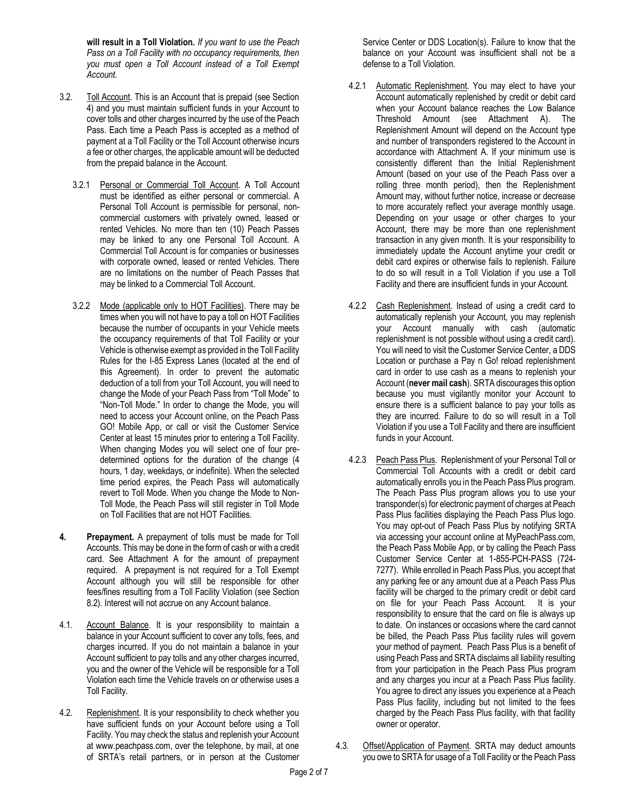**will result in a Toll Violation.** *If you want to use the Peach Pass on a Toll Facility with no occupancy requirements, then you must open a Toll Account instead of a Toll Exempt Account.*

- 3.2. Toll Account. This is an Account that is prepaid (see Section 4) and you must maintain sufficient funds in your Account to cover tolls and other charges incurred by the use of the Peach Pass. Each time a Peach Pass is accepted as a method of payment at a Toll Facility or the Toll Account otherwise incurs a fee or other charges, the applicable amount will be deducted from the prepaid balance in the Account.
	- 3.2.1 Personal or Commercial Toll Account. A Toll Account must be identified as either personal or commercial. A Personal Toll Account is permissible for personal, noncommercial customers with privately owned, leased or rented Vehicles. No more than ten (10) Peach Passes may be linked to any one Personal Toll Account. A Commercial Toll Account is for companies or businesses with corporate owned, leased or rented Vehicles. There are no limitations on the number of Peach Passes that may be linked to a Commercial Toll Account.
	- 3.2.2 Mode (applicable only to HOT Facilities). There may be times when you will not have to pay a toll on HOT Facilities because the number of occupants in your Vehicle meets the occupancy requirements of that Toll Facility or your Vehicle is otherwise exempt as provided in the Toll Facility Rules for the I-85 Express Lanes (located at the end of this Agreement). In order to prevent the automatic deduction of a toll from your Toll Account, you will need to change the Mode of your Peach Pass from "Toll Mode" to "Non-Toll Mode." In order to change the Mode, you will need to access your Account online, on the Peach Pass GO! Mobile App, or call or visit the Customer Service Center at least 15 minutes prior to entering a Toll Facility. When changing Modes you will select one of four predetermined options for the duration of the change (4 hours, 1 day, weekdays, or indefinite). When the selected time period expires, the Peach Pass will automatically revert to Toll Mode. When you change the Mode to Non-Toll Mode, the Peach Pass will still register in Toll Mode on Toll Facilities that are not HOT Facilities.
- **4. Prepayment.** A prepayment of tolls must be made for Toll Accounts. This may be done in the form of cash or with a credit card. See Attachment A for the amount of prepayment required. A prepayment is not required for a Toll Exempt Account although you will still be responsible for other fees/fines resulting from a Toll Facility Violation (see Section 8.2). Interest will not accrue on any Account balance.
- 4.1. Account Balance. It is your responsibility to maintain a balance in your Account sufficient to cover any tolls, fees, and charges incurred. If you do not maintain a balance in your Account sufficient to pay tolls and any other charges incurred, you and the owner of the Vehicle will be responsible for a Toll Violation each time the Vehicle travels on or otherwise uses a Toll Facility.
- 4.2. Replenishment. It is your responsibility to check whether you have sufficient funds on your Account before using a Toll Facility. You may check the status and replenish your Account at www.peachpass.com, over the telephone, by mail, at one of SRTA's retail partners, or in person at the Customer

Service Center or DDS Location(s). Failure to know that the balance on your Account was insufficient shall not be a defense to a Toll Violation.

- 4.2.1 Automatic Replenishment. You may elect to have your Account automatically replenished by credit or debit card when your Account balance reaches the Low Balance Threshold Amount (see Attachment A). The Replenishment Amount will depend on the Account type and number of transponders registered to the Account in accordance with Attachment A. If your minimum use is consistently different than the Initial Replenishment Amount (based on your use of the Peach Pass over a rolling three month period), then the Replenishment Amount may, without further notice, increase or decrease to more accurately reflect your average monthly usage. Depending on your usage or other charges to your Account, there may be more than one replenishment transaction in any given month. It is your responsibility to immediately update the Account anytime your credit or debit card expires or otherwise fails to replenish. Failure to do so will result in a Toll Violation if you use a Toll Facility and there are insufficient funds in your Account.
- 4.2.2 Cash Replenishment. Instead of using a credit card to automatically replenish your Account, you may replenish your Account manually with cash (automatic replenishment is not possible without using a credit card). You will need to visit the Customer Service Center, a DDS Location or purchase a Pay n Go! reload replenishment card in order to use cash as a means to replenish your Account (**never mail cash**). SRTA discourages this option because you must vigilantly monitor your Account to ensure there is a sufficient balance to pay your tolls as they are incurred. Failure to do so will result in a Toll Violation if you use a Toll Facility and there are insufficient funds in your Account.
- 4.2.3 Peach Pass Plus. Replenishment of your Personal Toll or Commercial Toll Accounts with a credit or debit card automatically enrolls you in the Peach Pass Plus program. The Peach Pass Plus program allows you to use your transponder(s) for electronic payment of charges at Peach Pass Plus facilities displaying the Peach Pass Plus logo. You may opt-out of Peach Pass Plus by notifying SRTA via accessing your account online at MyPeachPass.com, the Peach Pass Mobile App, or by calling the Peach Pass Customer Service Center at 1-855-PCH-PASS (724- 7277). While enrolled in Peach Pass Plus, you accept that any parking fee or any amount due at a Peach Pass Plus facility will be charged to the primary credit or debit card on file for your Peach Pass Account. It is your responsibility to ensure that the card on file is always up to date. On instances or occasions where the card cannot be billed, the Peach Pass Plus facility rules will govern your method of payment. Peach Pass Plus is a benefit of using Peach Pass and SRTA disclaims all liability resulting from your participation in the Peach Pass Plus program and any charges you incur at a Peach Pass Plus facility. You agree to direct any issues you experience at a Peach Pass Plus facility, including but not limited to the fees charged by the Peach Pass Plus facility, with that facility owner or operator.
- 4.3. Offset/Application of Payment. SRTA may deduct amounts you owe to SRTA for usage of a Toll Facility or the Peach Pass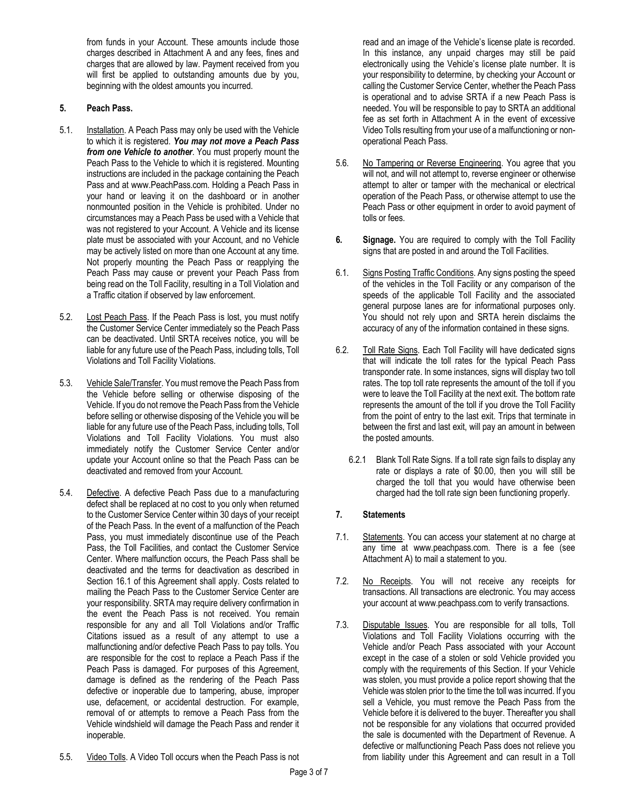from funds in your Account. These amounts include those charges described in Attachment A and any fees, fines and charges that are allowed by law. Payment received from you will first be applied to outstanding amounts due by you, beginning with the oldest amounts you incurred.

### **5. Peach Pass.**

- 5.1. Installation. A Peach Pass may only be used with the Vehicle to which it is registered. *You may not move a Peach Pass from one Vehicle to another*. You must properly mount the Peach Pass to the Vehicle to which it is registered. Mounting instructions are included in the package containing the Peach Pass and at www.PeachPass.com. Holding a Peach Pass in your hand or leaving it on the dashboard or in another nonmounted position in the Vehicle is prohibited. Under no circumstances may a Peach Pass be used with a Vehicle that was not registered to your Account. A Vehicle and its license plate must be associated with your Account, and no Vehicle may be actively listed on more than one Account at any time. Not properly mounting the Peach Pass or reapplying the Peach Pass may cause or prevent your Peach Pass from being read on the Toll Facility, resulting in a Toll Violation and a Traffic citation if observed by law enforcement.
- 5.2. Lost Peach Pass. If the Peach Pass is lost, you must notify the Customer Service Center immediately so the Peach Pass can be deactivated. Until SRTA receives notice, you will be liable for any future use of the Peach Pass, including tolls, Toll Violations and Toll Facility Violations.
- 5.3. Vehicle Sale/Transfer. You must remove the Peach Pass from the Vehicle before selling or otherwise disposing of the Vehicle. If you do not remove the Peach Pass from the Vehicle before selling or otherwise disposing of the Vehicle you will be liable for any future use of the Peach Pass, including tolls, Toll Violations and Toll Facility Violations. You must also immediately notify the Customer Service Center and/or update your Account online so that the Peach Pass can be deactivated and removed from your Account.
- 5.4. Defective. A defective Peach Pass due to a manufacturing defect shall be replaced at no cost to you only when returned to the Customer Service Center within 30 days of your receipt of the Peach Pass. In the event of a malfunction of the Peach Pass, you must immediately discontinue use of the Peach Pass, the Toll Facilities, and contact the Customer Service Center. Where malfunction occurs, the Peach Pass shall be deactivated and the terms for deactivation as described in Section 16.1 of this Agreement shall apply. Costs related to mailing the Peach Pass to the Customer Service Center are your responsibility. SRTA may require delivery confirmation in the event the Peach Pass is not received. You remain responsible for any and all Toll Violations and/or Traffic Citations issued as a result of any attempt to use a malfunctioning and/or defective Peach Pass to pay tolls. You are responsible for the cost to replace a Peach Pass if the Peach Pass is damaged. For purposes of this Agreement, damage is defined as the rendering of the Peach Pass defective or inoperable due to tampering, abuse, improper use, defacement, or accidental destruction. For example, removal of or attempts to remove a Peach Pass from the Vehicle windshield will damage the Peach Pass and render it inoperable.

read and an image of the Vehicle's license plate is recorded. In this instance, any unpaid charges may still be paid electronically using the Vehicle's license plate number. It is your responsibility to determine, by checking your Account or calling the Customer Service Center, whether the Peach Pass is operational and to advise SRTA if a new Peach Pass is needed. You will be responsible to pay to SRTA an additional fee as set forth in Attachment A in the event of excessive Video Tolls resulting from your use of a malfunctioning or nonoperational Peach Pass.

- 5.6. No Tampering or Reverse Engineering. You agree that you will not, and will not attempt to, reverse engineer or otherwise attempt to alter or tamper with the mechanical or electrical operation of the Peach Pass, or otherwise attempt to use the Peach Pass or other equipment in order to avoid payment of tolls or fees.
- **6. Signage.** You are required to comply with the Toll Facility signs that are posted in and around the Toll Facilities.
- 6.1. Signs Posting Traffic Conditions. Any signs posting the speed of the vehicles in the Toll Facility or any comparison of the speeds of the applicable Toll Facility and the associated general purpose lanes are for informational purposes only. You should not rely upon and SRTA herein disclaims the accuracy of any of the information contained in these signs.
- 6.2. Toll Rate Signs. Each Toll Facility will have dedicated signs that will indicate the toll rates for the typical Peach Pass transponder rate. In some instances, signs will display two toll rates. The top toll rate represents the amount of the toll if you were to leave the Toll Facility at the next exit. The bottom rate represents the amount of the toll if you drove the Toll Facility from the point of entry to the last exit. Trips that terminate in between the first and last exit, will pay an amount in between the posted amounts.
	- 6.2.1 Blank Toll Rate Signs. If a toll rate sign fails to display any rate or displays a rate of \$0.00, then you will still be charged the toll that you would have otherwise been charged had the toll rate sign been functioning properly.

#### **7. Statements**

- 7.1. Statements. You can access your statement at no charge at any time at www.peachpass.com. There is a fee (see Attachment A) to mail a statement to you.
- 7.2. No Receipts. You will not receive any receipts for transactions. All transactions are electronic. You may access your account at www.peachpass.com to verify transactions.
- 7.3. Disputable Issues. You are responsible for all tolls, Toll Violations and Toll Facility Violations occurring with the Vehicle and/or Peach Pass associated with your Account except in the case of a stolen or sold Vehicle provided you comply with the requirements of this Section. If your Vehicle was stolen, you must provide a police report showing that the Vehicle was stolen prior to the time the toll was incurred. If you sell a Vehicle, you must remove the Peach Pass from the Vehicle before it is delivered to the buyer. Thereafter you shall not be responsible for any violations that occurred provided the sale is documented with the Department of Revenue. A defective or malfunctioning Peach Pass does not relieve you from liability under this Agreement and can result in a Toll
- 5.5. Video Tolls. A Video Toll occurs when the Peach Pass is not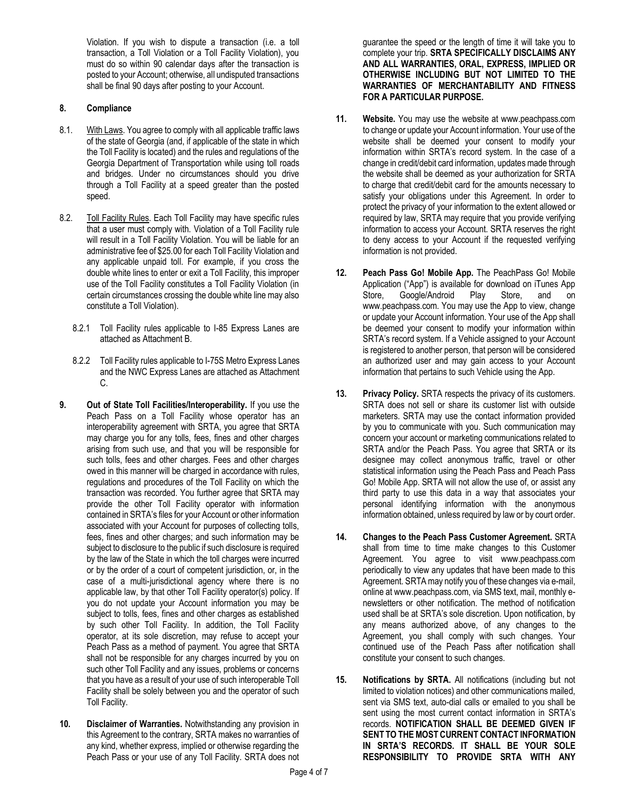Violation. If you wish to dispute a transaction (i.e. a toll transaction, a Toll Violation or a Toll Facility Violation), you must do so within 90 calendar days after the transaction is posted to your Account; otherwise, all undisputed transactions shall be final 90 days after posting to your Account.

### **8. Compliance**

- 8.1. With Laws. You agree to comply with all applicable traffic laws of the state of Georgia (and, if applicable of the state in which the Toll Facility is located) and the rules and regulations of the Georgia Department of Transportation while using toll roads and bridges. Under no circumstances should you drive through a Toll Facility at a speed greater than the posted speed.
- 8.2. Toll Facility Rules. Each Toll Facility may have specific rules that a user must comply with. Violation of a Toll Facility rule will result in a Toll Facility Violation. You will be liable for an administrative fee of \$25.00 for each Toll Facility Violation and any applicable unpaid toll. For example, if you cross the double white lines to enter or exit a Toll Facility, this improper use of the Toll Facility constitutes a Toll Facility Violation (in certain circumstances crossing the double white line may also constitute a Toll Violation).
	- 8.2.1 Toll Facility rules applicable to I-85 Express Lanes are attached as Attachment B.
	- 8.2.2 Toll Facility rules applicable to I-75S Metro Express Lanes and the NWC Express Lanes are attached as Attachment C.
- **9. Out of State Toll Facilities/Interoperability.** If you use the Peach Pass on a Toll Facility whose operator has an interoperability agreement with SRTA, you agree that SRTA may charge you for any tolls, fees, fines and other charges arising from such use, and that you will be responsible for such tolls, fees and other charges. Fees and other charges owed in this manner will be charged in accordance with rules, regulations and procedures of the Toll Facility on which the transaction was recorded. You further agree that SRTA may provide the other Toll Facility operator with information contained in SRTA's files for your Account or other information associated with your Account for purposes of collecting tolls, fees, fines and other charges; and such information may be subject to disclosure to the public if such disclosure is required by the law of the State in which the toll charges were incurred or by the order of a court of competent jurisdiction, or, in the case of a multi-jurisdictional agency where there is no applicable law, by that other Toll Facility operator(s) policy. If you do not update your Account information you may be subject to tolls, fees, fines and other charges as established by such other Toll Facility. In addition, the Toll Facility operator, at its sole discretion, may refuse to accept your Peach Pass as a method of payment. You agree that SRTA shall not be responsible for any charges incurred by you on such other Toll Facility and any issues, problems or concerns that you have as a result of your use of such interoperable Toll Facility shall be solely between you and the operator of such Toll Facility.
- **10. Disclaimer of Warranties.** Notwithstanding any provision in this Agreement to the contrary, SRTA makes no warranties of any kind, whether express, implied or otherwise regarding the Peach Pass or your use of any Toll Facility. SRTA does not

guarantee the speed or the length of time it will take you to complete your trip. **SRTA SPECIFICALLY DISCLAIMS ANY AND ALL WARRANTIES, ORAL, EXPRESS, IMPLIED OR OTHERWISE INCLUDING BUT NOT LIMITED TO THE WARRANTIES OF MERCHANTABILITY AND FITNESS FOR A PARTICULAR PURPOSE.**

- **11. Website.** You may use the website at www.peachpass.com to change or update your Account information. Your use of the website shall be deemed your consent to modify your information within SRTA's record system. In the case of a change in credit/debit card information, updates made through the website shall be deemed as your authorization for SRTA to charge that credit/debit card for the amounts necessary to satisfy your obligations under this Agreement. In order to protect the privacy of your information to the extent allowed or required by law, SRTA may require that you provide verifying information to access your Account. SRTA reserves the right to deny access to your Account if the requested verifying information is not provided.
- **12. Peach Pass Go! Mobile App.** The PeachPass Go! Mobile Application ("App") is available for download on iTunes App Store, Google/Android Play Store, and on www.peachpass.com. You may use the App to view, change or update your Account information. Your use of the App shall be deemed your consent to modify your information within SRTA's record system. If a Vehicle assigned to your Account is registered to another person, that person will be considered an authorized user and may gain access to your Account information that pertains to such Vehicle using the App.
- **13. Privacy Policy.** SRTA respects the privacy of its customers. SRTA does not sell or share its customer list with outside marketers. SRTA may use the contact information provided by you to communicate with you. Such communication may concern your account or marketing communications related to SRTA and/or the Peach Pass. You agree that SRTA or its designee may collect anonymous traffic, travel or other statistical information using the Peach Pass and Peach Pass Go! Mobile App. SRTA will not allow the use of, or assist any third party to use this data in a way that associates your personal identifying information with the anonymous information obtained, unless required by law or by court order.
- **14. Changes to the Peach Pass Customer Agreement.** SRTA shall from time to time make changes to this Customer Agreement. You agree to visit www.peachpass.com periodically to view any updates that have been made to this Agreement. SRTA may notify you of these changes via e-mail, online at www.peachpass.com, via SMS text, mail, monthly enewsletters or other notification. The method of notification used shall be at SRTA's sole discretion. Upon notification, by any means authorized above, of any changes to the Agreement, you shall comply with such changes. Your continued use of the Peach Pass after notification shall constitute your consent to such changes.
- **15. Notifications by SRTA.** All notifications (including but not limited to violation notices) and other communications mailed, sent via SMS text, auto-dial calls or emailed to you shall be sent using the most current contact information in SRTA's records. **NOTIFICATION SHALL BE DEEMED GIVEN IF SENT TO THE MOST CURRENT CONTACT INFORMATION IN SRTA'S RECORDS. IT SHALL BE YOUR SOLE RESPONSIBILITY TO PROVIDE SRTA WITH ANY**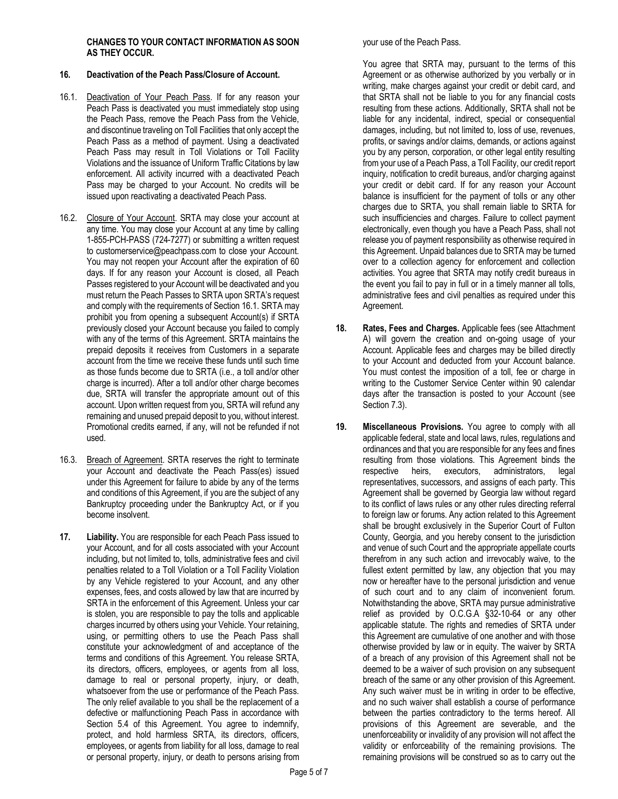#### **CHANGES TO YOUR CONTACT INFORMATION AS SOON AS THEY OCCUR.**

#### **16. Deactivation of the Peach Pass/Closure of Account.**

- 16.1. Deactivation of Your Peach Pass. If for any reason your Peach Pass is deactivated you must immediately stop using the Peach Pass, remove the Peach Pass from the Vehicle, and discontinue traveling on Toll Facilities that only accept the Peach Pass as a method of payment. Using a deactivated Peach Pass may result in Toll Violations or Toll Facility Violations and the issuance of Uniform Traffic Citations by law enforcement. All activity incurred with a deactivated Peach Pass may be charged to your Account. No credits will be issued upon reactivating a deactivated Peach Pass.
- 16.2. Closure of Your Account. SRTA may close your account at any time. You may close your Account at any time by calling 1-855-PCH-PASS (724-7277) or submitting a written request to customerservice@peachpass.com to close your Account. You may not reopen your Account after the expiration of 60 days. If for any reason your Account is closed, all Peach Passes registered to your Account will be deactivated and you must return the Peach Passes to SRTA upon SRTA's request and comply with the requirements of Section 16.1. SRTA may prohibit you from opening a subsequent Account(s) if SRTA previously closed your Account because you failed to comply with any of the terms of this Agreement. SRTA maintains the prepaid deposits it receives from Customers in a separate account from the time we receive these funds until such time as those funds become due to SRTA (i.e., a toll and/or other charge is incurred). After a toll and/or other charge becomes due, SRTA will transfer the appropriate amount out of this account. Upon written request from you, SRTA will refund any remaining and unused prepaid deposit to you, without interest. Promotional credits earned, if any, will not be refunded if not used.
- 16.3. Breach of Agreement. SRTA reserves the right to terminate your Account and deactivate the Peach Pass(es) issued under this Agreement for failure to abide by any of the terms and conditions of this Agreement, if you are the subject of any Bankruptcy proceeding under the Bankruptcy Act, or if you become insolvent.
- **17. Liability.** You are responsible for each Peach Pass issued to your Account, and for all costs associated with your Account including, but not limited to, tolls, administrative fees and civil penalties related to a Toll Violation or a Toll Facility Violation by any Vehicle registered to your Account, and any other expenses, fees, and costs allowed by law that are incurred by SRTA in the enforcement of this Agreement. Unless your car is stolen, you are responsible to pay the tolls and applicable charges incurred by others using your Vehicle. Your retaining, using, or permitting others to use the Peach Pass shall constitute your acknowledgment of and acceptance of the terms and conditions of this Agreement. You release SRTA, its directors, officers, employees, or agents from all loss, damage to real or personal property, injury, or death, whatsoever from the use or performance of the Peach Pass. The only relief available to you shall be the replacement of a defective or malfunctioning Peach Pass in accordance with Section 5.4 of this Agreement. You agree to indemnify, protect, and hold harmless SRTA, its directors, officers, employees, or agents from liability for all loss, damage to real or personal property, injury, or death to persons arising from

your use of the Peach Pass.

You agree that SRTA may, pursuant to the terms of this Agreement or as otherwise authorized by you verbally or in writing, make charges against your credit or debit card, and that SRTA shall not be liable to you for any financial costs resulting from these actions. Additionally, SRTA shall not be liable for any incidental, indirect, special or consequential damages, including, but not limited to, loss of use, revenues, profits, or savings and/or claims, demands, or actions against you by any person, corporation, or other legal entity resulting from your use of a Peach Pass, a Toll Facility, our credit report inquiry, notification to credit bureaus, and/or charging against your credit or debit card. If for any reason your Account balance is insufficient for the payment of tolls or any other charges due to SRTA, you shall remain liable to SRTA for such insufficiencies and charges. Failure to collect payment electronically, even though you have a Peach Pass, shall not release you of payment responsibility as otherwise required in this Agreement. Unpaid balances due to SRTA may be turned over to a collection agency for enforcement and collection activities. You agree that SRTA may notify credit bureaus in the event you fail to pay in full or in a timely manner all tolls, administrative fees and civil penalties as required under this Agreement.

- **18. Rates, Fees and Charges.** Applicable fees (see Attachment A) will govern the creation and on-going usage of your Account. Applicable fees and charges may be billed directly to your Account and deducted from your Account balance. You must contest the imposition of a toll, fee or charge in writing to the Customer Service Center within 90 calendar days after the transaction is posted to your Account (see Section 7.3).
- **19. Miscellaneous Provisions.** You agree to comply with all applicable federal, state and local laws, rules, regulations and ordinances and that you are responsible for any fees and fines resulting from those violations. This Agreement binds the respective heirs, executors, administrators, legal representatives, successors, and assigns of each party. This Agreement shall be governed by Georgia law without regard to its conflict of laws rules or any other rules directing referral to foreign law or forums. Any action related to this Agreement shall be brought exclusively in the Superior Court of Fulton County, Georgia, and you hereby consent to the jurisdiction and venue of such Court and the appropriate appellate courts therefrom in any such action and irrevocably waive, to the fullest extent permitted by law, any objection that you may now or hereafter have to the personal jurisdiction and venue of such court and to any claim of inconvenient forum. Notwithstanding the above, SRTA may pursue administrative relief as provided by O.C.G.A §32-10-64 or any other applicable statute. The rights and remedies of SRTA under this Agreement are cumulative of one another and with those otherwise provided by law or in equity. The waiver by SRTA of a breach of any provision of this Agreement shall not be deemed to be a waiver of such provision on any subsequent breach of the same or any other provision of this Agreement. Any such waiver must be in writing in order to be effective, and no such waiver shall establish a course of performance between the parties contradictory to the terms hereof. All provisions of this Agreement are severable, and the unenforceability or invalidity of any provision will not affect the validity or enforceability of the remaining provisions. The remaining provisions will be construed so as to carry out the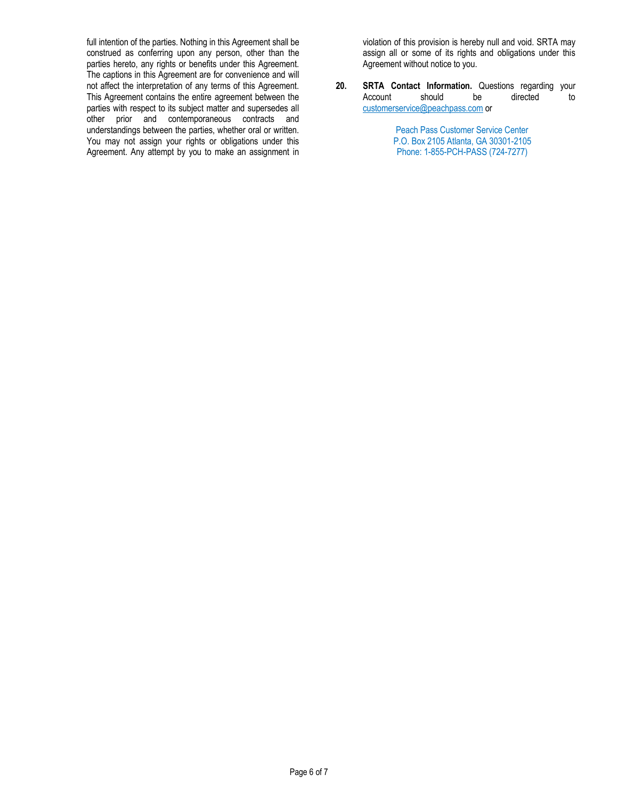full intention of the parties. Nothing in this Agreement shall be construed as conferring upon any person, other than the parties hereto, any rights or benefits under this Agreement. The captions in this Agreement are for convenience and will not affect the interpretation of any terms of this Agreement. This Agreement contains the entire agreement between the parties with respect to its subject matter and supersedes all other prior and contemporaneous contracts and understandings between the parties, whether oral or written. You may not assign your rights or obligations under this Agreement. Any attempt by you to make an assignment in

violation of this provision is hereby null and void. SRTA may assign all or some of its rights and obligations under this Agreement without notice to you.

**20. SRTA Contact Information.** Questions regarding your Account should be directed to customerservice@peachpass.com or

> Peach Pass Customer Service Center P.O. Box 2105 Atlanta, GA 30301-2105 Phone: 1-855-PCH-PASS (724-7277)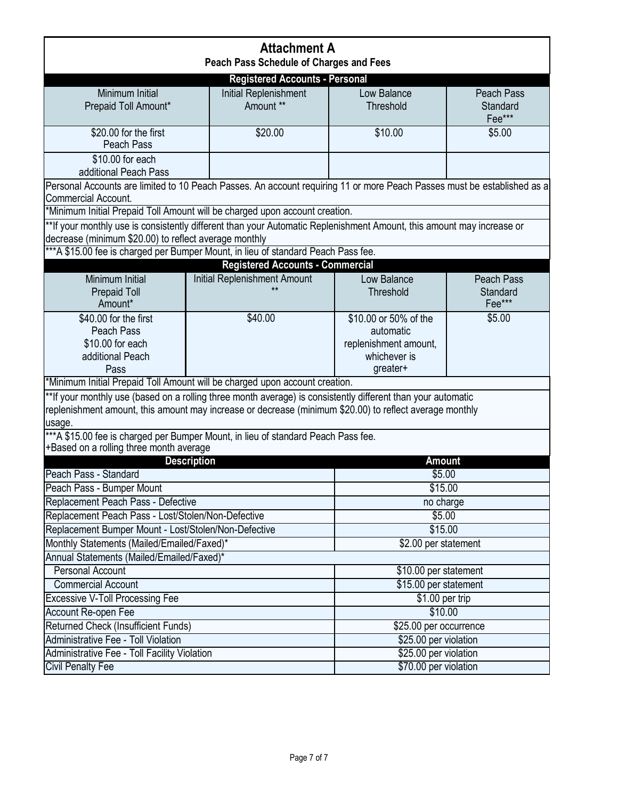| <b>Attachment A</b>                                                                                                                                                                                                               |  |                                           |                                                                                         |                                  |  |
|-----------------------------------------------------------------------------------------------------------------------------------------------------------------------------------------------------------------------------------|--|-------------------------------------------|-----------------------------------------------------------------------------------------|----------------------------------|--|
| Peach Pass Schedule of Charges and Fees                                                                                                                                                                                           |  |                                           |                                                                                         |                                  |  |
| Minimum Initial                                                                                                                                                                                                                   |  | <b>Registered Accounts - Personal</b>     |                                                                                         |                                  |  |
| Prepaid Toll Amount*                                                                                                                                                                                                              |  | <b>Initial Replenishment</b><br>Amount ** | Low Balance<br>Threshold                                                                | Peach Pass<br>Standard<br>Fee*** |  |
| \$20.00 for the first<br>Peach Pass                                                                                                                                                                                               |  | \$20.00                                   | \$10.00                                                                                 | \$5.00                           |  |
| \$10.00 for each<br>additional Peach Pass                                                                                                                                                                                         |  |                                           |                                                                                         |                                  |  |
| Personal Accounts are limited to 10 Peach Passes. An account requiring 11 or more Peach Passes must be established as a<br>Commercial Account.                                                                                    |  |                                           |                                                                                         |                                  |  |
| *Minimum Initial Prepaid Toll Amount will be charged upon account creation.                                                                                                                                                       |  |                                           |                                                                                         |                                  |  |
| **If your monthly use is consistently different than your Automatic Replenishment Amount, this amount may increase or<br>decrease (minimum \$20.00) to reflect average monthly                                                    |  |                                           |                                                                                         |                                  |  |
| ***A \$15.00 fee is charged per Bumper Mount, in lieu of standard Peach Pass fee.                                                                                                                                                 |  |                                           |                                                                                         |                                  |  |
|                                                                                                                                                                                                                                   |  | <b>Registered Accounts - Commercial</b>   |                                                                                         |                                  |  |
| Minimum Initial<br><b>Prepaid Toll</b><br>Amount*                                                                                                                                                                                 |  | <b>Initial Replenishment Amount</b><br>** | Low Balance<br>Threshold                                                                | Peach Pass<br>Standard<br>Fee*** |  |
| \$40.00 for the first<br>Peach Pass<br>\$10.00 for each<br>additional Peach<br>Pass                                                                                                                                               |  | \$40.00                                   | \$10.00 or 50% of the<br>automatic<br>replenishment amount,<br>whichever is<br>greater+ | \$5.00                           |  |
| *Minimum Initial Prepaid Toll Amount will be charged upon account creation.                                                                                                                                                       |  |                                           |                                                                                         |                                  |  |
| **If your monthly use (based on a rolling three month average) is consistently different than your automatic<br>replenishment amount, this amount may increase or decrease (minimum \$20.00) to reflect average monthly<br>usage. |  |                                           |                                                                                         |                                  |  |
| *** A \$15.00 fee is charged per Bumper Mount, in lieu of standard Peach Pass fee.                                                                                                                                                |  |                                           |                                                                                         |                                  |  |
| +Based on a rolling three month average                                                                                                                                                                                           |  |                                           |                                                                                         |                                  |  |
| <b>Description</b><br>Peach Pass - Standard                                                                                                                                                                                       |  |                                           | <b>Amount</b><br>\$5.00                                                                 |                                  |  |
| Peach Pass - Bumper Mount                                                                                                                                                                                                         |  |                                           | \$15.00                                                                                 |                                  |  |
| Replacement Peach Pass - Defective                                                                                                                                                                                                |  |                                           | no charge                                                                               |                                  |  |
| Replacement Peach Pass - Lost/Stolen/Non-Defective                                                                                                                                                                                |  |                                           |                                                                                         | \$5.00                           |  |
| Replacement Bumper Mount - Lost/Stolen/Non-Defective                                                                                                                                                                              |  |                                           | \$15.00                                                                                 |                                  |  |
| Monthly Statements (Mailed/Emailed/Faxed)*                                                                                                                                                                                        |  |                                           | \$2.00 per statement                                                                    |                                  |  |
| Annual Statements (Mailed/Emailed/Faxed)*                                                                                                                                                                                         |  |                                           |                                                                                         |                                  |  |
| <b>Personal Account</b>                                                                                                                                                                                                           |  |                                           | \$10.00 per statement                                                                   |                                  |  |
| <b>Commercial Account</b>                                                                                                                                                                                                         |  |                                           | \$15.00 per statement                                                                   |                                  |  |
| <b>Excessive V-Toll Processing Fee</b>                                                                                                                                                                                            |  |                                           | $$1.00$ per trip                                                                        |                                  |  |
| Account Re-open Fee                                                                                                                                                                                                               |  |                                           | \$10.00                                                                                 |                                  |  |
| <b>Returned Check (Insufficient Funds)</b>                                                                                                                                                                                        |  |                                           | \$25.00 per occurrence                                                                  |                                  |  |
| <b>Administrative Fee - Toll Violation</b>                                                                                                                                                                                        |  |                                           | \$25.00 per violation                                                                   |                                  |  |
| Administrative Fee - Toll Facility Violation                                                                                                                                                                                      |  |                                           | \$25.00 per violation                                                                   |                                  |  |
| <b>Civil Penalty Fee</b>                                                                                                                                                                                                          |  |                                           | \$70.00 per violation                                                                   |                                  |  |